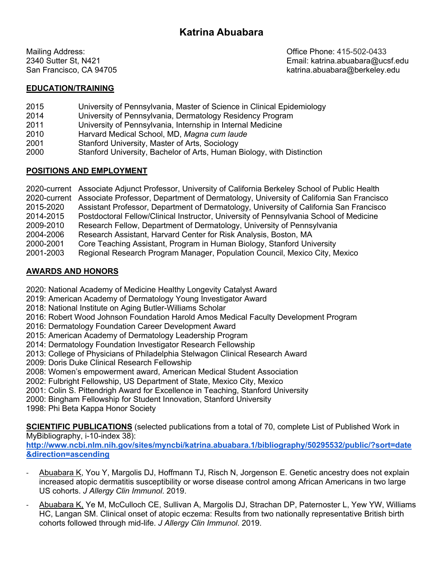Mailing Address: Office Phone: 415-502-0433 2340 Sutter St, N421 Email: katrina.abuabara@ucsf.edu San Francisco, CA 94705 katrina.abuabara@berkeley.edu

## **EDUCATION/TRAINING**

- 2015 University of Pennsylvania, Master of Science in Clinical Epidemiology
- 2014 University of Pennsylvania, Dermatology Residency Program
- 2011 University of Pennsylvania, Internship in Internal Medicine
- 2010 Harvard Medical School, MD, *Magna cum laude*
- 2001 Stanford University, Master of Arts, Sociology
- 2000 Stanford University, Bachelor of Arts, Human Biology, with Distinction

# **POSITIONS AND EMPLOYMENT**

2020-current Associate Adjunct Professor, University of California Berkeley School of Public Health 2020-current Associate Professor, Department of Dermatology, University of California San Francisco 2015-2020 Assistant Professor, Department of Dermatology, University of California San Francisco 2014-2015 Postdoctoral Fellow/Clinical Instructor, University of Pennsylvania School of Medicine 2009-2010 Research Fellow, Department of Dermatology, University of Pennsylvania 2004-2006 Research Assistant, Harvard Center for Risk Analysis, Boston, MA 2000-2001 Core Teaching Assistant, Program in Human Biology, Stanford University 2001-2003 Regional Research Program Manager, Population Council, Mexico City, Mexico

# **AWARDS AND HONORS**

- 2020: National Academy of Medicine Healthy Longevity Catalyst Award
- 2019: American Academy of Dermatology Young Investigator Award
- 2018: National Institute on Aging Butler-Williams Scholar
- 2016: Robert Wood Johnson Foundation Harold Amos Medical Faculty Development Program
- 2016: Dermatology Foundation Career Development Award
- 2015: American Academy of Dermatology Leadership Program
- 2014: Dermatology Foundation Investigator Research Fellowship
- 2013: College of Physicians of Philadelphia Stelwagon Clinical Research Award
- 2009: Doris Duke Clinical Research Fellowship
- 2008: Women's empowerment award, American Medical Student Association
- 2002: Fulbright Fellowship, US Department of State, Mexico City, Mexico
- 2001: Colin S. Pittendrigh Award for Excellence in Teaching, Stanford University
- 2000: Bingham Fellowship for Student Innovation, Stanford University
- 1998: Phi Beta Kappa Honor Society

**SCIENTIFIC PUBLICATIONS** (selected publications from a total of 70, complete List of Published Work in MyBibliography, i-10-index 38):

**http://www.ncbi.nlm.nih.gov/sites/myncbi/katrina.abuabara.1/bibliography/50295532/public/?sort=date &direction=ascending**

- Abuabara K, You Y, Margolis DJ, Hoffmann TJ, Risch N, Jorgenson E. Genetic ancestry does not explain increased atopic dermatitis susceptibility or worse disease control among African Americans in two large US cohorts. *J Allergy Clin Immunol*. 2019.
- Abuabara K, Ye M, McCulloch CE, Sullivan A, Margolis DJ, Strachan DP, Paternoster L, Yew YW, Williams HC, Langan SM. Clinical onset of atopic eczema: Results from two nationally representative British birth cohorts followed through mid-life. *J Allergy Clin Immunol*. 2019.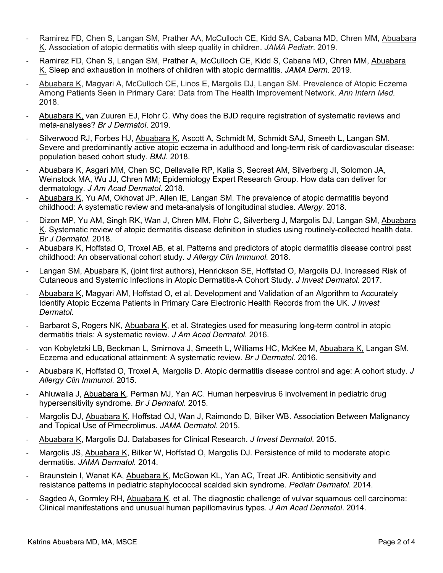- Ramirez FD, Chen S, Langan SM, Prather AA, McCulloch CE, Kidd SA, Cabana MD, Chren MM, Abuabara K. Association of atopic dermatitis with sleep quality in children. *JAMA Pediatr*. 2019.
- Ramirez FD, Chen S, Langan SM, Prather A, McCulloch CE, Kidd S, Cabana MD, Chren MM, Abuabara K. Sleep and exhaustion in mothers of children with atopic dermatitis. *JAMA Derm.* 2019.
- Abuabara K, Magyari A, McCulloch CE, Linos E, Margolis DJ, Langan SM. Prevalence of Atopic Eczema Among Patients Seen in Primary Care: Data from The Health Improvement Network. *Ann Intern Med.* 2018.
- Abuabara K, van Zuuren EJ, Flohr C. Why does the BJD require registration of systematic reviews and meta-analyses? *Br J Dermatol*. 2019.
- Silverwood RJ, Forbes HJ, Abuabara K, Ascott A, Schmidt M, Schmidt SAJ, Smeeth L, Langan SM. Severe and predominantly active atopic eczema in adulthood and long-term risk of cardiovascular disease: population based cohort study. *BMJ.* 2018.
- Abuabara K, Asgari MM, Chen SC, Dellavalle RP, Kalia S, Secrest AM, Silverberg JI, Solomon JA, Weinstock MA, Wu JJ, Chren MM; Epidemiology Expert Research Group. How data can deliver for dermatology. *J Am Acad Dermatol*. 2018.
- Abuabara K, Yu AM, Okhovat JP, Allen IE, Langan SM. The prevalence of atopic dermatitis beyond childhood: A systematic review and meta-analysis of longitudinal studies. *Allergy.* 2018.
- Dizon MP, Yu AM, Singh RK, Wan J, Chren MM, Flohr C, Silverberg J, Margolis DJ, Langan SM, Abuabara K. Systematic review of atopic dermatitis disease definition in studies using routinely-collected health data. *Br J Dermatol.* 2018.
- Abuabara K, Hoffstad O, Troxel AB, et al. Patterns and predictors of atopic dermatitis disease control past childhood: An observational cohort study. *J Allergy Clin Immunol.* 2018.
- Langan SM, Abuabara K, (joint first authors), Henrickson SE, Hoffstad O, Margolis DJ. Increased Risk of Cutaneous and Systemic Infections in Atopic Dermatitis-A Cohort Study. *J Invest Dermatol.* 2017.
- Abuabara K, Magyari AM, Hoffstad O, et al. Development and Validation of an Algorithm to Accurately Identify Atopic Eczema Patients in Primary Care Electronic Health Records from the UK. *J Invest Dermatol*.
- Barbarot S, Rogers NK, Abuabara K, et al. Strategies used for measuring long-term control in atopic dermatitis trials: A systematic review. *J Am Acad Dermatol.* 2016.
- von Kobyletzki LB, Beckman L, Smirnova J, Smeeth L, Williams HC, McKee M, Abuabara K, Langan SM. Eczema and educational attainment: A systematic review. *Br J Dermatol.* 2016.
- Abuabara K, Hoffstad O, Troxel A, Margolis D. Atopic dermatitis disease control and age: A cohort study. *J Allergy Clin Immunol.* 2015.
- Ahluwalia J, Abuabara K, Perman MJ, Yan AC. Human herpesvirus 6 involvement in pediatric drug hypersensitivity syndrome. *Br J Dermatol.* 2015.
- Margolis DJ, Abuabara K, Hoffstad OJ, Wan J, Raimondo D, Bilker WB. Association Between Malignancy and Topical Use of Pimecrolimus. *JAMA Dermatol*. 2015.
- Abuabara K, Margolis DJ. Databases for Clinical Research. *J Invest Dermatol.* 2015.
- Margolis JS, Abuabara K, Bilker W, Hoffstad O, Margolis DJ. Persistence of mild to moderate atopic dermatitis. *JAMA Dermatol.* 2014.
- Braunstein I, Wanat KA, Abuabara K, McGowan KL, Yan AC, Treat JR. Antibiotic sensitivity and resistance patterns in pediatric staphylococcal scalded skin syndrome. *Pediatr Dermatol*. 2014.
- Sagdeo A, Gormley RH, Abuabara K, et al. The diagnostic challenge of vulvar squamous cell carcinoma: Clinical manifestations and unusual human papillomavirus types. *J Am Acad Dermatol*. 2014.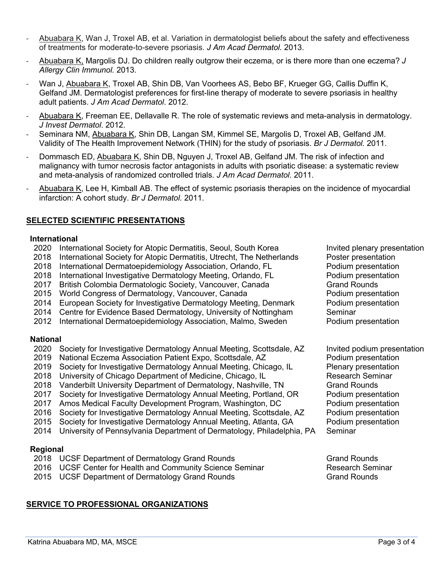- Abuabara K, Wan J, Troxel AB, et al. Variation in dermatologist beliefs about the safety and effectiveness of treatments for moderate-to-severe psoriasis. *J Am Acad Dermatol.* 2013.
- Abuabara K, Margolis DJ. Do children really outgrow their eczema, or is there more than one eczema? *J Allergy Clin Immunol.* 2013.
- Wan J, Abuabara K, Troxel AB, Shin DB, Van Voorhees AS, Bebo BF, Krueger GG, Callis Duffin K, Gelfand JM. Dermatologist preferences for first-line therapy of moderate to severe psoriasis in healthy adult patients. *J Am Acad Dermatol*. 2012.
- Abuabara K, Freeman EE, Dellavalle R. The role of systematic reviews and meta-analysis in dermatology. *J Invest Dermatol*. 2012.
- Seminara NM, Abuabara K, Shin DB, Langan SM, Kimmel SE, Margolis D, Troxel AB, Gelfand JM. Validity of The Health Improvement Network (THIN) for the study of psoriasis. *Br J Dermatol.* 2011.
- Dommasch ED, Abuabara K, Shin DB, Nguyen J, Troxel AB, Gelfand JM. The risk of infection and malignancy with tumor necrosis factor antagonists in adults with psoriatic disease: a systematic review and meta-analysis of randomized controlled trials. *J Am Acad Dermatol*. 2011.
- Abuabara K, Lee H, Kimball AB. The effect of systemic psoriasis therapies on the incidence of myocardial infarction: A cohort study. *Br J Dermatol.* 2011.

## **SELECTED SCIENTIFIC PRESENTATIONS**

#### **International**

- 2020 International Society for Atopic Dermatitis, Seoul, South Korea Invited plenary presentation
- 2018 International Society for Atopic Dermatitis, Utrecht, The Netherlands Poster presentation
- 2018 International Dermatoepidemiology Association, Orlando, FL Podium presentation
- 2018 International Investigative Dermatology Meeting, Orlando, FL Podium presentation
- 2017 British Colombia Dermatologic Society, Vancouver, Canada Grand Rounds
- 2015 World Congress of Dermatology, Vancouver, Canada Podium presentation
- 2014 European Society for Investigative Dermatology Meeting, Denmark Podium presentation
- 2014 Centre for Evidence Based Dermatology, University of Nottingham Seminar
- 2012 International Dermatoepidemiology Association, Malmo, Sweden Podium presentation

### **National**

- 2020 Society for Investigative Dermatology Annual Meeting, Scottsdale, AZ Invited podium presentation
- 2019 National Eczema Association Patient Expo, Scottsdale, AZ Podium presentation
- 2019 Society for Investigative Dermatology Annual Meeting, Chicago, IL Plenary presentation
- 2018 University of Chicago Department of Medicine, Chicago, IL Research Seminar
- 2018 Vanderbilt University Department of Dermatology, Nashville, TN Grand Rounds
- 2017 Society for Investigative Dermatology Annual Meeting, Portland, OR Podium presentation
- 2017 Amos Medical Faculty Development Program, Washington, DC Podium presentation
- 2016 Society for Investigative Dermatology Annual Meeting, Scottsdale, AZ Podium presentation
- 2015 Society for Investigative Dermatology Annual Meeting, Atlanta, GA Podium presentation
- 2014 University of Pennsylvania Department of Dermatology, Philadelphia, PA Seminar

### **Regional**

- 2018 UCSF Department of Dermatology Grand Rounds Grand Grand Rounds
- 2016 UCSF Center for Health and Community Science Seminar **Research Seminar**
- 2015 UCSF Department of Dermatology Grand Rounds Grand Grand Rounds

# **SERVICE TO PROFESSIONAL ORGANIZATIONS**

- 
- 
-